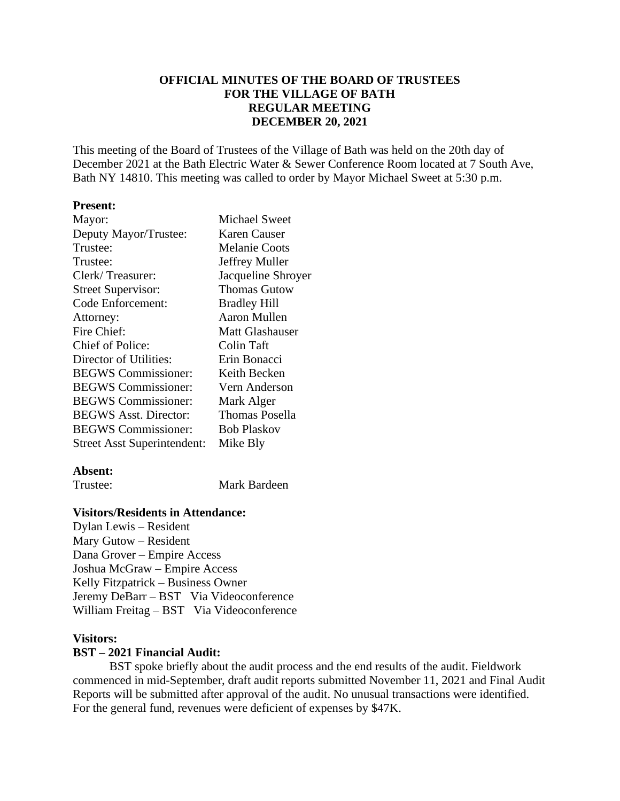## **OFFICIAL MINUTES OF THE BOARD OF TRUSTEES FOR THE VILLAGE OF BATH REGULAR MEETING DECEMBER 20, 2021**

This meeting of the Board of Trustees of the Village of Bath was held on the 20th day of December 2021 at the Bath Electric Water & Sewer Conference Room located at 7 South Ave, Bath NY 14810. This meeting was called to order by Mayor Michael Sweet at 5:30 p.m.

### **Present:**

| Mayor:                             | <b>Michael Sweet</b>  |
|------------------------------------|-----------------------|
| Deputy Mayor/Trustee:              | <b>Karen Causer</b>   |
| Trustee:                           | <b>Melanie Coots</b>  |
| Trustee:                           | Jeffrey Muller        |
| Clerk/Treasurer:                   | Jacqueline Shroyer    |
| <b>Street Supervisor:</b>          | <b>Thomas Gutow</b>   |
| Code Enforcement:                  | <b>Bradley Hill</b>   |
| Attorney:                          | <b>Aaron Mullen</b>   |
| Fire Chief:                        | Matt Glashauser       |
| <b>Chief of Police:</b>            | Colin Taft            |
| Director of Utilities:             | Erin Bonacci          |
| <b>BEGWS</b> Commissioner:         | Keith Becken          |
| <b>BEGWS</b> Commissioner:         | Vern Anderson         |
| <b>BEGWS</b> Commissioner:         | Mark Alger            |
| <b>BEGWS Asst. Director:</b>       | <b>Thomas Posella</b> |
| <b>BEGWS</b> Commissioner:         | <b>Bob Plaskov</b>    |
| <b>Street Asst Superintendent:</b> | Mike Bly              |

### **Absent:**

Trustee: Mark Bardeen

### **Visitors/Residents in Attendance:**

Dylan Lewis – Resident Mary Gutow – Resident Dana Grover – Empire Access Joshua McGraw – Empire Access Kelly Fitzpatrick – Business Owner Jeremy DeBarr – BST Via Videoconference William Freitag – BST Via Videoconference

### **Visitors:**

### **BST – 2021 Financial Audit:**

BST spoke briefly about the audit process and the end results of the audit. Fieldwork commenced in mid-September, draft audit reports submitted November 11, 2021 and Final Audit Reports will be submitted after approval of the audit. No unusual transactions were identified. For the general fund, revenues were deficient of expenses by \$47K.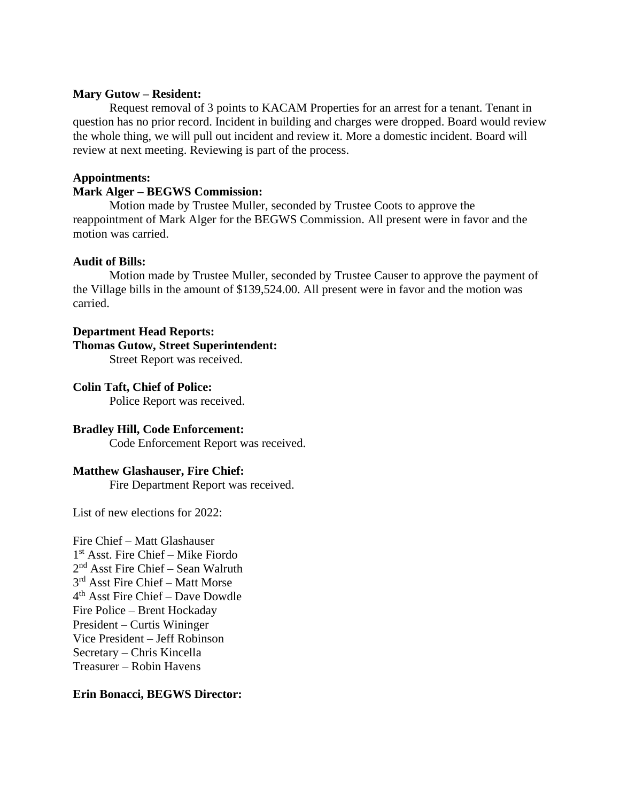### **Mary Gutow – Resident:**

Request removal of 3 points to KACAM Properties for an arrest for a tenant. Tenant in question has no prior record. Incident in building and charges were dropped. Board would review the whole thing, we will pull out incident and review it. More a domestic incident. Board will review at next meeting. Reviewing is part of the process.

### **Appointments:**

## **Mark Alger – BEGWS Commission:**

Motion made by Trustee Muller, seconded by Trustee Coots to approve the reappointment of Mark Alger for the BEGWS Commission. All present were in favor and the motion was carried.

## **Audit of Bills:**

Motion made by Trustee Muller, seconded by Trustee Causer to approve the payment of the Village bills in the amount of \$139,524.00. All present were in favor and the motion was carried.

### **Department Head Reports:**

### **Thomas Gutow, Street Superintendent:**

Street Report was received.

### **Colin Taft, Chief of Police:**

Police Report was received.

## **Bradley Hill, Code Enforcement:**

Code Enforcement Report was received.

## **Matthew Glashauser, Fire Chief:**

Fire Department Report was received.

List of new elections for 2022:

Fire Chief – Matt Glashauser 1 st Asst. Fire Chief – Mike Fiordo 2 nd Asst Fire Chief – Sean Walruth 3 rd Asst Fire Chief – Matt Morse 4 th Asst Fire Chief – Dave Dowdle Fire Police – Brent Hockaday President – Curtis Wininger Vice President – Jeff Robinson Secretary – Chris Kincella Treasurer – Robin Havens

## **Erin Bonacci, BEGWS Director:**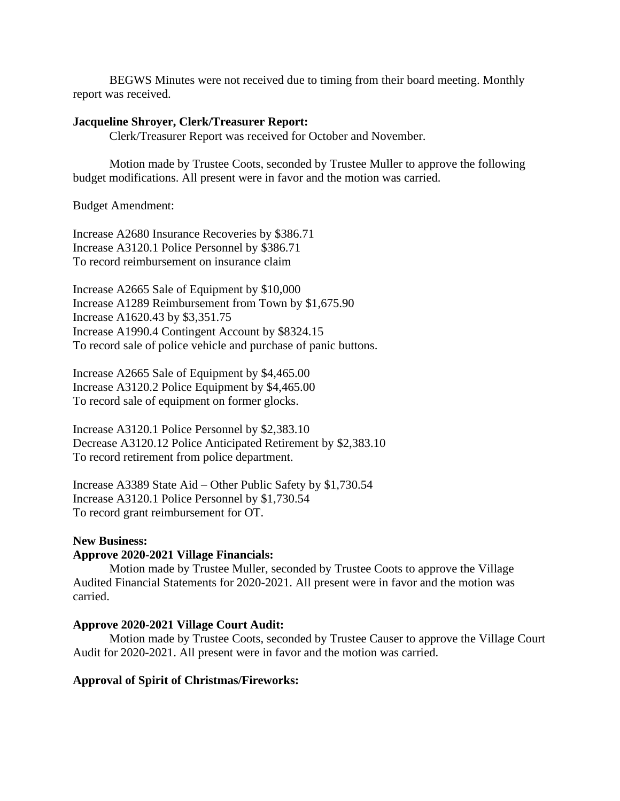BEGWS Minutes were not received due to timing from their board meeting. Monthly report was received.

#### **Jacqueline Shroyer, Clerk/Treasurer Report:**

Clerk/Treasurer Report was received for October and November.

Motion made by Trustee Coots, seconded by Trustee Muller to approve the following budget modifications. All present were in favor and the motion was carried.

Budget Amendment:

Increase A2680 Insurance Recoveries by \$386.71 Increase A3120.1 Police Personnel by \$386.71 To record reimbursement on insurance claim

Increase A2665 Sale of Equipment by \$10,000 Increase A1289 Reimbursement from Town by \$1,675.90 Increase A1620.43 by \$3,351.75 Increase A1990.4 Contingent Account by \$8324.15 To record sale of police vehicle and purchase of panic buttons.

Increase A2665 Sale of Equipment by \$4,465.00 Increase A3120.2 Police Equipment by \$4,465.00 To record sale of equipment on former glocks.

Increase A3120.1 Police Personnel by \$2,383.10 Decrease A3120.12 Police Anticipated Retirement by \$2,383.10 To record retirement from police department.

Increase A3389 State Aid – Other Public Safety by \$1,730.54 Increase A3120.1 Police Personnel by \$1,730.54 To record grant reimbursement for OT.

### **New Business:**

### **Approve 2020-2021 Village Financials:**

Motion made by Trustee Muller, seconded by Trustee Coots to approve the Village Audited Financial Statements for 2020-2021. All present were in favor and the motion was carried.

#### **Approve 2020-2021 Village Court Audit:**

Motion made by Trustee Coots, seconded by Trustee Causer to approve the Village Court Audit for 2020-2021. All present were in favor and the motion was carried.

#### **Approval of Spirit of Christmas/Fireworks:**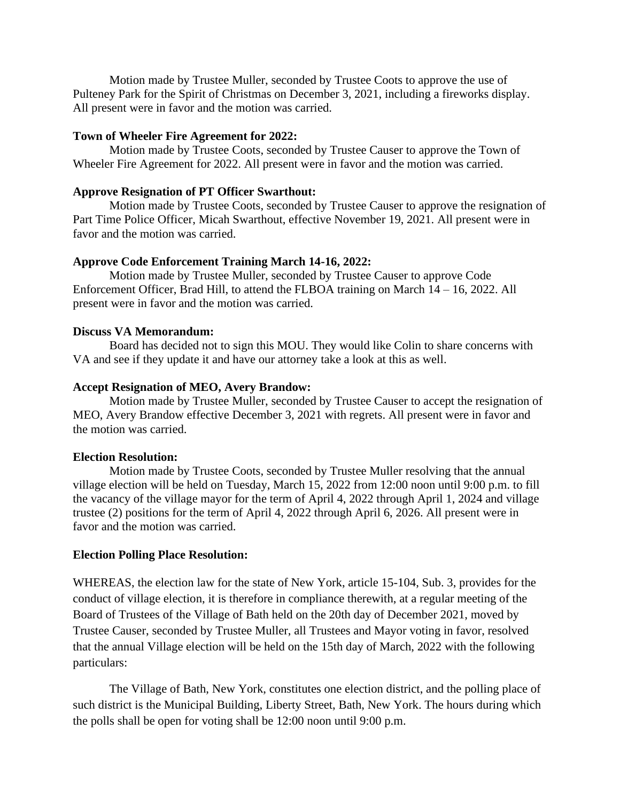Motion made by Trustee Muller, seconded by Trustee Coots to approve the use of Pulteney Park for the Spirit of Christmas on December 3, 2021, including a fireworks display. All present were in favor and the motion was carried.

### **Town of Wheeler Fire Agreement for 2022:**

Motion made by Trustee Coots, seconded by Trustee Causer to approve the Town of Wheeler Fire Agreement for 2022. All present were in favor and the motion was carried.

### **Approve Resignation of PT Officer Swarthout:**

Motion made by Trustee Coots, seconded by Trustee Causer to approve the resignation of Part Time Police Officer, Micah Swarthout, effective November 19, 2021. All present were in favor and the motion was carried.

## **Approve Code Enforcement Training March 14-16, 2022:**

Motion made by Trustee Muller, seconded by Trustee Causer to approve Code Enforcement Officer, Brad Hill, to attend the FLBOA training on March 14 – 16, 2022. All present were in favor and the motion was carried.

### **Discuss VA Memorandum:**

Board has decided not to sign this MOU. They would like Colin to share concerns with VA and see if they update it and have our attorney take a look at this as well.

### **Accept Resignation of MEO, Avery Brandow:**

Motion made by Trustee Muller, seconded by Trustee Causer to accept the resignation of MEO, Avery Brandow effective December 3, 2021 with regrets. All present were in favor and the motion was carried.

### **Election Resolution:**

Motion made by Trustee Coots, seconded by Trustee Muller resolving that the annual village election will be held on Tuesday, March 15, 2022 from 12:00 noon until 9:00 p.m. to fill the vacancy of the village mayor for the term of April 4, 2022 through April 1, 2024 and village trustee (2) positions for the term of April 4, 2022 through April 6, 2026. All present were in favor and the motion was carried.

## **Election Polling Place Resolution:**

WHEREAS, the election law for the state of New York, article 15-104, Sub. 3, provides for the conduct of village election, it is therefore in compliance therewith, at a regular meeting of the Board of Trustees of the Village of Bath held on the 20th day of December 2021, moved by Trustee Causer, seconded by Trustee Muller, all Trustees and Mayor voting in favor, resolved that the annual Village election will be held on the 15th day of March, 2022 with the following particulars:

The Village of Bath, New York, constitutes one election district, and the polling place of such district is the Municipal Building, Liberty Street, Bath, New York. The hours during which the polls shall be open for voting shall be 12:00 noon until 9:00 p.m.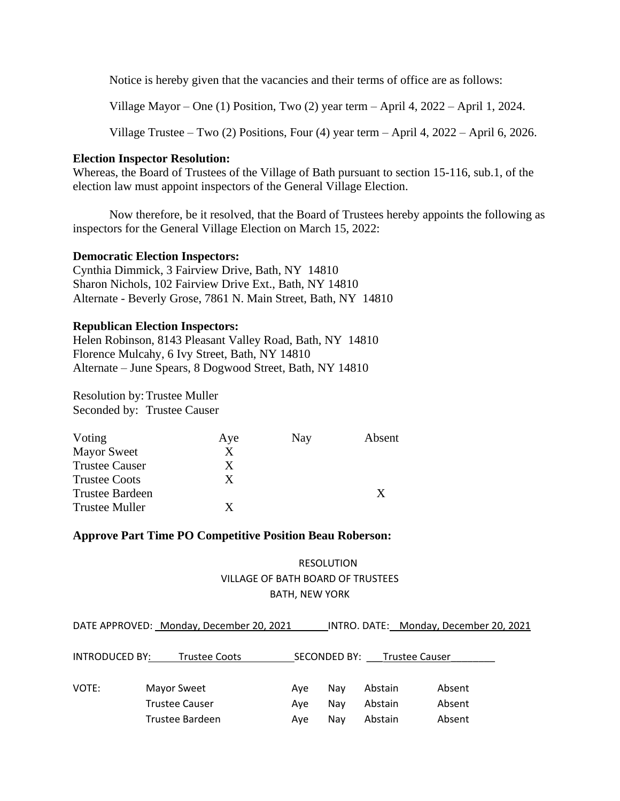Notice is hereby given that the vacancies and their terms of office are as follows:

Village Mayor – One (1) Position, Two (2) year term – April 4, 2022 – April 1, 2024.

Village Trustee – Two (2) Positions, Four (4) year term – April 4, 2022 – April 6, 2026.

### **Election Inspector Resolution:**

Whereas, the Board of Trustees of the Village of Bath pursuant to section 15-116, sub.1, of the election law must appoint inspectors of the General Village Election.

Now therefore, be it resolved, that the Board of Trustees hereby appoints the following as inspectors for the General Village Election on March 15, 2022:

### **Democratic Election Inspectors:**

Cynthia Dimmick, 3 Fairview Drive, Bath, NY 14810 Sharon Nichols, 102 Fairview Drive Ext., Bath, NY 14810 Alternate - Beverly Grose, 7861 N. Main Street, Bath, NY 14810

### **Republican Election Inspectors:**

Helen Robinson, 8143 Pleasant Valley Road, Bath, NY 14810 Florence Mulcahy, 6 Ivy Street, Bath, NY 14810 Alternate – June Spears, 8 Dogwood Street, Bath, NY 14810

Resolution by:Trustee Muller Seconded by: Trustee Causer

| Voting                 | Aye | Nay | Absent |
|------------------------|-----|-----|--------|
| <b>Mayor Sweet</b>     | X   |     |        |
| <b>Trustee Causer</b>  | X   |     |        |
| <b>Trustee Coots</b>   | X   |     |        |
| <b>Trustee Bardeen</b> |     |     | X      |
| <b>Trustee Muller</b>  | X   |     |        |

## **Approve Part Time PO Competitive Position Beau Roberson:**

# RESOLUTION VILLAGE OF BATH BOARD OF TRUSTEES BATH, NEW YORK

|                | DATE APPROVED: Monday, December 20, 2021 |     |              |                | INTRO. DATE: Monday, December 20, 2021 |
|----------------|------------------------------------------|-----|--------------|----------------|----------------------------------------|
|                |                                          |     |              |                |                                        |
| INTRODUCED BY: | <b>Trustee Coots</b>                     |     | SECONDED BY: | Trustee Causer |                                        |
|                |                                          |     |              |                |                                        |
| VOTE:          | <b>Mayor Sweet</b>                       | Ave | Nav          | Abstain        | Absent                                 |
|                | <b>Trustee Causer</b>                    | Ave | Nav          | Abstain        | Absent                                 |
|                | Trustee Bardeen                          | Ave | Nav          | Abstain        | Absent                                 |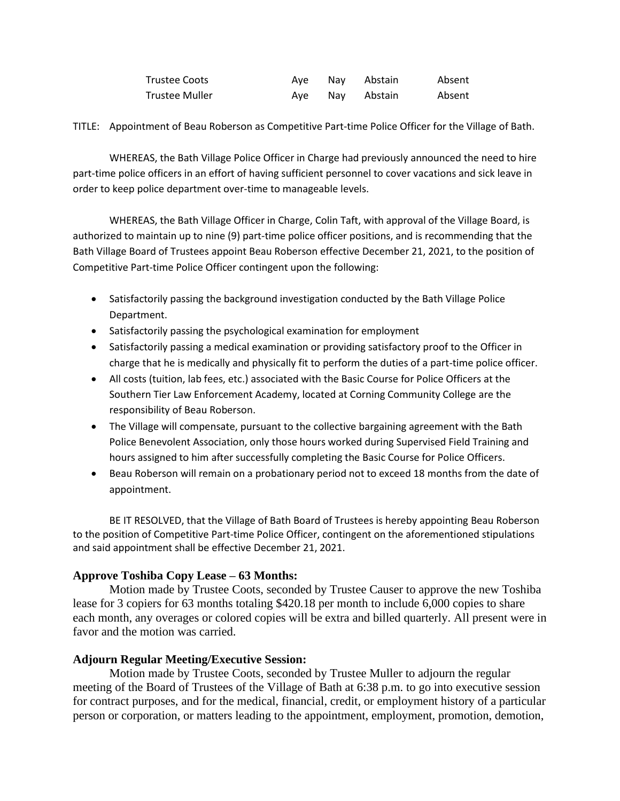| Trustee Coots  |  | Aye Nay Abstain | Absent |
|----------------|--|-----------------|--------|
| Trustee Muller |  | Ave Nav Abstain | Absent |

TITLE: Appointment of Beau Roberson as Competitive Part-time Police Officer for the Village of Bath.

WHEREAS, the Bath Village Police Officer in Charge had previously announced the need to hire part-time police officers in an effort of having sufficient personnel to cover vacations and sick leave in order to keep police department over-time to manageable levels.

WHEREAS, the Bath Village Officer in Charge, Colin Taft, with approval of the Village Board, is authorized to maintain up to nine (9) part-time police officer positions, and is recommending that the Bath Village Board of Trustees appoint Beau Roberson effective December 21, 2021, to the position of Competitive Part-time Police Officer contingent upon the following:

- Satisfactorily passing the background investigation conducted by the Bath Village Police Department.
- Satisfactorily passing the psychological examination for employment
- Satisfactorily passing a medical examination or providing satisfactory proof to the Officer in charge that he is medically and physically fit to perform the duties of a part-time police officer.
- All costs (tuition, lab fees, etc.) associated with the Basic Course for Police Officers at the Southern Tier Law Enforcement Academy, located at Corning Community College are the responsibility of Beau Roberson.
- The Village will compensate, pursuant to the collective bargaining agreement with the Bath Police Benevolent Association, only those hours worked during Supervised Field Training and hours assigned to him after successfully completing the Basic Course for Police Officers.
- Beau Roberson will remain on a probationary period not to exceed 18 months from the date of appointment.

BE IT RESOLVED, that the Village of Bath Board of Trustees is hereby appointing Beau Roberson to the position of Competitive Part-time Police Officer, contingent on the aforementioned stipulations and said appointment shall be effective December 21, 2021.

## **Approve Toshiba Copy Lease – 63 Months:**

Motion made by Trustee Coots, seconded by Trustee Causer to approve the new Toshiba lease for 3 copiers for 63 months totaling \$420.18 per month to include 6,000 copies to share each month, any overages or colored copies will be extra and billed quarterly. All present were in favor and the motion was carried.

## **Adjourn Regular Meeting/Executive Session:**

Motion made by Trustee Coots, seconded by Trustee Muller to adjourn the regular meeting of the Board of Trustees of the Village of Bath at 6:38 p.m. to go into executive session for contract purposes, and for the medical, financial, credit, or employment history of a particular person or corporation, or matters leading to the appointment, employment, promotion, demotion,